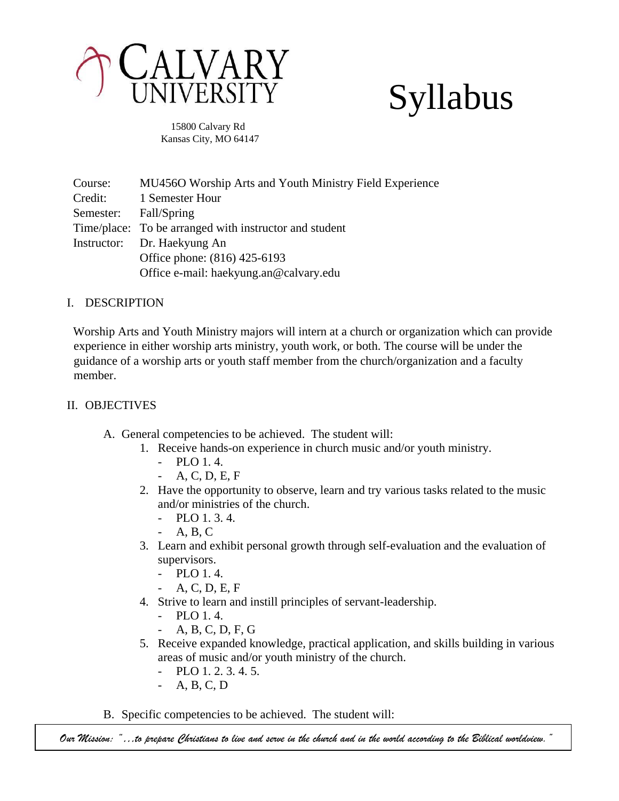

# Syllabus

 15800 Calvary Rd Kansas City, MO 64147

Course: MU456O Worship Arts and Youth Ministry Field Experience Credit: 1 Semester Hour Semester: Fall/Spring Time/place: To be arranged with instructor and student Instructor: Dr. Haekyung An Office phone: (816) 425-6193 Office e-mail: haekyung.an@calvary.edu

# I. DESCRIPTION

Worship Arts and Youth Ministry majors will intern at a church or organization which can provide experience in either worship arts ministry, youth work, or both. The course will be under the guidance of a worship arts or youth staff member from the church/organization and a faculty member.

# II. OBJECTIVES

- A. General competencies to be achieved. The student will:
	- 1. Receive hands-on experience in church music and/or youth ministry.
		- $-$  PLO 1.4.
		- A, C, D, E, F
	- 2. Have the opportunity to observe, learn and try various tasks related to the music and/or ministries of the church.
		- PLO 1. 3. 4.
		- A, B, C
	- 3. Learn and exhibit personal growth through self-evaluation and the evaluation of supervisors.
		- PLO 1. 4.
			- A, C, D, E, F
	- 4. Strive to learn and instill principles of servant-leadership.
		- PLO 1. 4.
		- A, B, C, D, F, G
	- 5. Receive expanded knowledge, practical application, and skills building in various areas of music and/or youth ministry of the church.
		- PLO 1. 2. 3. 4. 5.
		- A, B, C, D
- B. Specific competencies to be achieved. The student will:

*Our Mission: "…to prepare Christians to live and serve in the church and in the world according to the Biblical worldview."*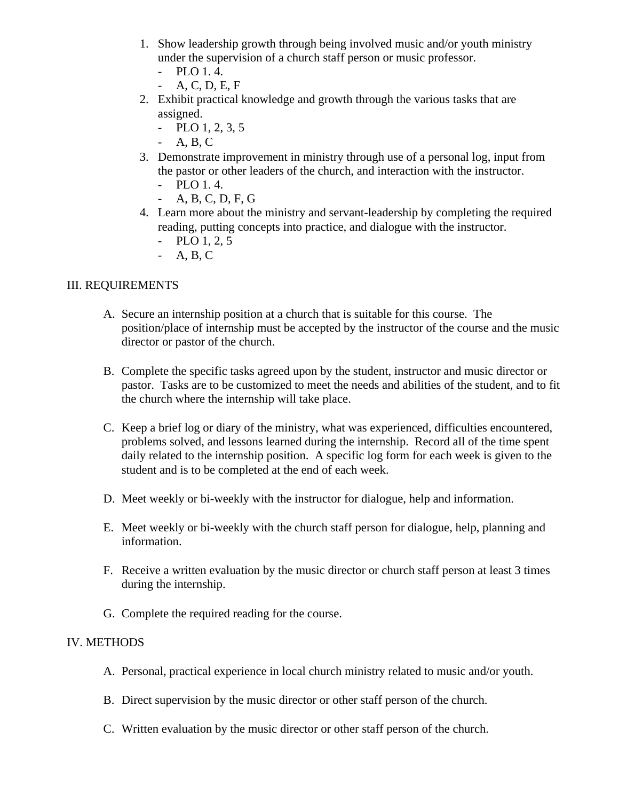- 1. Show leadership growth through being involved music and/or youth ministry under the supervision of a church staff person or music professor.
	- PLO 1. 4.
	- A, C, D, E, F
- 2. Exhibit practical knowledge and growth through the various tasks that are assigned.
	- $-$  PLO 1, 2, 3, 5
	- $-A, B, C$
- 3. Demonstrate improvement in ministry through use of a personal log, input from the pastor or other leaders of the church, and interaction with the instructor.
	- PLO 1. 4.
	- A, B, C, D, F, G
- 4. Learn more about the ministry and servant-leadership by completing the required reading, putting concepts into practice, and dialogue with the instructor.
	- PLO 1, 2, 5
	- A, B, C

# III. REQUIREMENTS

- A. Secure an internship position at a church that is suitable for this course. The position/place of internship must be accepted by the instructor of the course and the music director or pastor of the church.
- B. Complete the specific tasks agreed upon by the student, instructor and music director or pastor. Tasks are to be customized to meet the needs and abilities of the student, and to fit the church where the internship will take place.
- C. Keep a brief log or diary of the ministry, what was experienced, difficulties encountered, problems solved, and lessons learned during the internship. Record all of the time spent daily related to the internship position. A specific log form for each week is given to the student and is to be completed at the end of each week.
- D. Meet weekly or bi-weekly with the instructor for dialogue, help and information.
- E. Meet weekly or bi-weekly with the church staff person for dialogue, help, planning and information.
- F. Receive a written evaluation by the music director or church staff person at least 3 times during the internship.
- G. Complete the required reading for the course.

# IV. METHODS

- A. Personal, practical experience in local church ministry related to music and/or youth.
- B. Direct supervision by the music director or other staff person of the church.
- C. Written evaluation by the music director or other staff person of the church.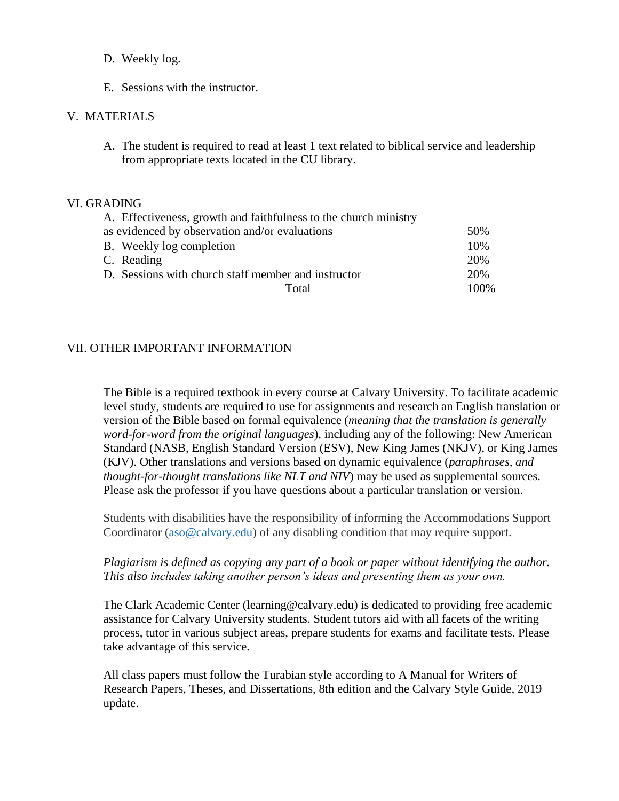- D. Weekly log.
- E. Sessions with the instructor.

## V. MATERIALS

A. The student is required to read at least 1 text related to biblical service and leadership from appropriate texts located in the CU library.

#### VI. GRADING

| A. Effectiveness, growth and faithfulness to the church ministry |      |
|------------------------------------------------------------------|------|
| as evidenced by observation and/or evaluations                   | 50%  |
| B. Weekly log completion                                         | 10%  |
| C. Reading                                                       | 20%  |
| D. Sessions with church staff member and instructor              | 20%  |
| Total                                                            | 100% |

## VII. OTHER IMPORTANT INFORMATION

The Bible is a required textbook in every course at Calvary University. To facilitate academic level study, students are required to use for assignments and research an English translation or version of the Bible based on formal equivalence (*meaning that the translation is generally word-for-word from the original languages*), including any of the following: New American Standard (NASB, English Standard Version (ESV), New King James (NKJV), or King James (KJV). Other translations and versions based on dynamic equivalence (*paraphrases, and thought-for-thought translations like NLT and NIV*) may be used as supplemental sources. Please ask the professor if you have questions about a particular translation or version.

Students with disabilities have the responsibility of informing the Accommodations Support Coordinator [\(aso@calvary.edu\)](mailto:aso@calvary.edu) of any disabling condition that may require support.

## *Plagiarism is defined as copying any part of a book or paper without identifying the author. This also includes taking another person's ideas and presenting them as your own.*

The Clark Academic Center (learning@calvary.edu) is dedicated to providing free academic assistance for Calvary University students. Student tutors aid with all facets of the writing process, tutor in various subject areas, prepare students for exams and facilitate tests. Please take advantage of this service.

All class papers must follow the Turabian style according to A Manual for Writers of Research Papers, Theses, and Dissertations, 8th edition and the Calvary Style Guide, 2019 update.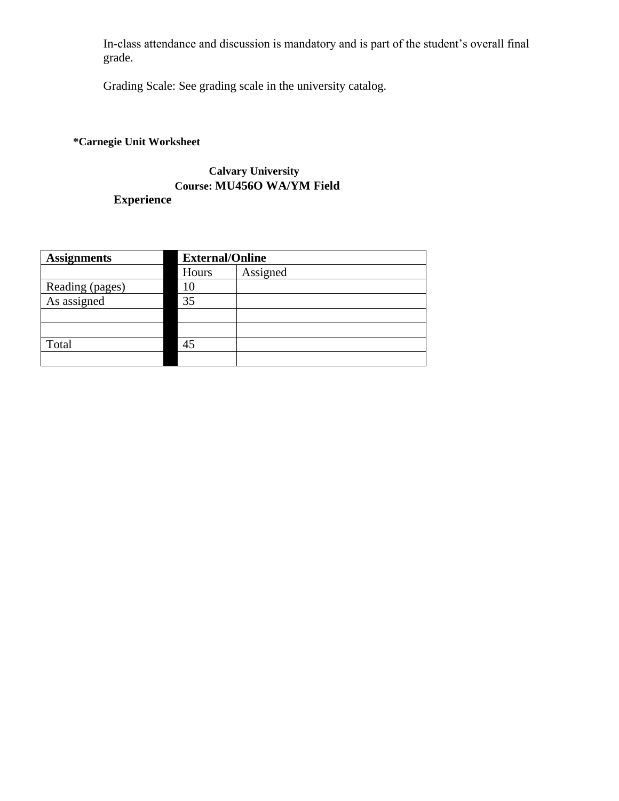In-class attendance and discussion is mandatory and is part of the student's overall final grade.

Grading Scale: See grading scale in the university catalog.

# **\*Carnegie Unit Worksheet**

# **Calvary University Course: MU456O WA/YM Field Experience**

| <b>Assignments</b> |       | <b>External/Online</b> |  |  |
|--------------------|-------|------------------------|--|--|
|                    | Hours | Assigned               |  |  |
| Reading (pages)    | 10    |                        |  |  |
| As assigned        | 35    |                        |  |  |
|                    |       |                        |  |  |
|                    |       |                        |  |  |
| Total              | 45    |                        |  |  |
|                    |       |                        |  |  |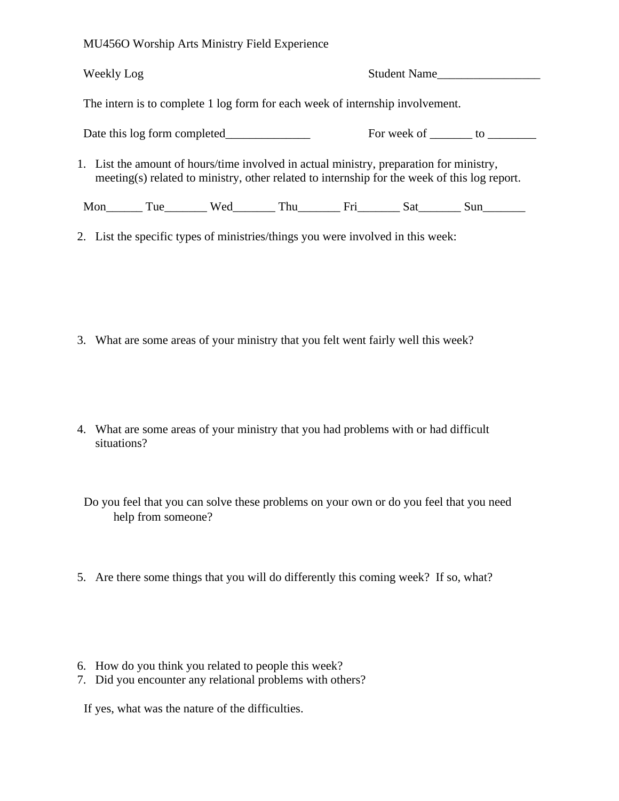MU456O Worship Arts Ministry Field Experience

| Weekly Log                                                                                                                                                                              |                                                                                                    |  | Student Name |  |                                   |
|-----------------------------------------------------------------------------------------------------------------------------------------------------------------------------------------|----------------------------------------------------------------------------------------------------|--|--------------|--|-----------------------------------|
| The intern is to complete 1 log form for each week of internship involvement.                                                                                                           |                                                                                                    |  |              |  |                                   |
|                                                                                                                                                                                         | Date this log form completed                                                                       |  |              |  | For week of ________ to _________ |
| 1. List the amount of hours/time involved in actual ministry, preparation for ministry,<br>meeting(s) related to ministry, other related to internship for the week of this log report. |                                                                                                    |  |              |  |                                   |
|                                                                                                                                                                                         | Mon_________ Tue___________ Wed__________ Thu____________ Fri__________ Sat_________ Sun__________ |  |              |  |                                   |
| 2. List the specific types of ministries/things you were involved in this week:                                                                                                         |                                                                                                    |  |              |  |                                   |

- 3. What are some areas of your ministry that you felt went fairly well this week?
- 4. What are some areas of your ministry that you had problems with or had difficult situations?

Do you feel that you can solve these problems on your own or do you feel that you need help from someone?

- 5. Are there some things that you will do differently this coming week? If so, what?
- 6. How do you think you related to people this week?
- 7. Did you encounter any relational problems with others?

If yes, what was the nature of the difficulties.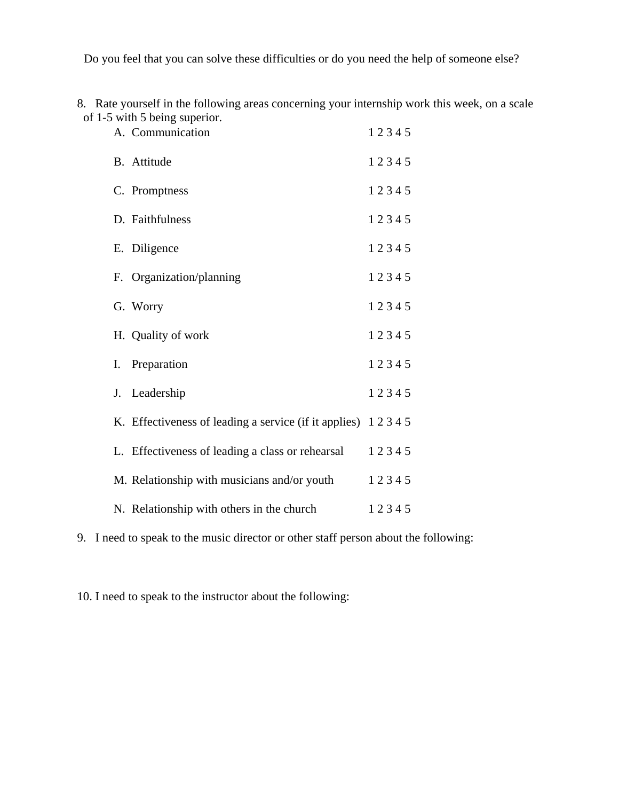Do you feel that you can solve these difficulties or do you need the help of someone else?

8. Rate yourself in the following areas concerning your internship work this week, on a scale of 1-5 with 5 being superior.

| A. Communication                                            | 12345 |
|-------------------------------------------------------------|-------|
| B. Attitude                                                 | 12345 |
| C. Promptness                                               | 12345 |
| D. Faithfulness                                             | 12345 |
| E. Diligence                                                | 12345 |
| F. Organization/planning                                    | 12345 |
| G. Worry                                                    | 12345 |
| H. Quality of work                                          | 12345 |
| Preparation<br>I.                                           | 12345 |
| Leadership<br>J.                                            | 12345 |
| K. Effectiveness of leading a service (if it applies) 12345 |       |
| L. Effectiveness of leading a class or rehearsal            | 12345 |
| M. Relationship with musicians and/or youth                 | 12345 |
| N. Relationship with others in the church                   | 12345 |

9. I need to speak to the music director or other staff person about the following:

10. I need to speak to the instructor about the following: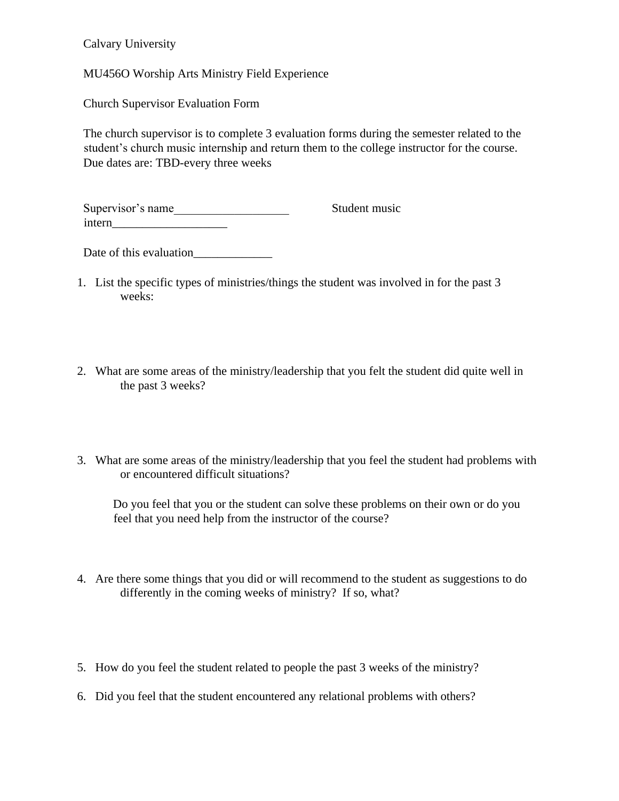Calvary University

MU456O Worship Arts Ministry Field Experience

Church Supervisor Evaluation Form

The church supervisor is to complete 3 evaluation forms during the semester related to the student's church music internship and return them to the college instructor for the course. Due dates are: TBD-every three weeks

Supervisor's name Student music intern

Date of this evaluation\_\_\_\_\_\_\_\_\_\_\_\_\_

- 1. List the specific types of ministries/things the student was involved in for the past 3 weeks:
- 2. What are some areas of the ministry/leadership that you felt the student did quite well in the past 3 weeks?
- 3. What are some areas of the ministry/leadership that you feel the student had problems with or encountered difficult situations?

Do you feel that you or the student can solve these problems on their own or do you feel that you need help from the instructor of the course?

- 4. Are there some things that you did or will recommend to the student as suggestions to do differently in the coming weeks of ministry? If so, what?
- 5. How do you feel the student related to people the past 3 weeks of the ministry?
- 6. Did you feel that the student encountered any relational problems with others?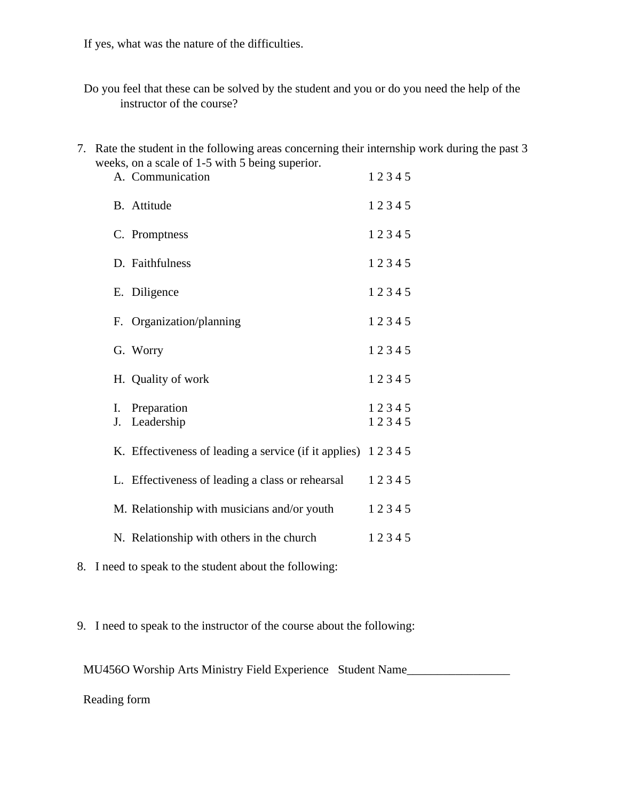If yes, what was the nature of the difficulties.

Do you feel that these can be solved by the student and you or do you need the help of the instructor of the course?

7. Rate the student in the following areas concerning their internship work during the past 3 weeks, on a scale of 1-5 with 5 being superior.

|          | $z$ eks, on a scale of 1-5 with 5 being superior.<br>A. Communication | 12345          |
|----------|-----------------------------------------------------------------------|----------------|
|          | B. Attitude                                                           | 12345          |
|          | C. Promptness                                                         | 12345          |
|          | D. Faithfulness                                                       | 12345          |
|          | E. Diligence                                                          | 12345          |
|          | F. Organization/planning                                              | 12345          |
|          | G. Worry                                                              | 12345          |
|          | H. Quality of work                                                    | 12345          |
| Ι.<br>J. | Preparation<br>Leadership                                             | 12345<br>12345 |
|          | K. Effectiveness of leading a service (if it applies) 12345           |                |
|          | L. Effectiveness of leading a class or rehearsal                      | 12345          |
|          | M. Relationship with musicians and/or youth                           | 12345          |
|          | N. Relationship with others in the church                             | 12345          |

8. I need to speak to the student about the following:

9. I need to speak to the instructor of the course about the following:

MU456O Worship Arts Ministry Field Experience Student Name\_\_\_\_\_\_\_\_\_\_\_\_\_\_\_\_\_\_\_\_\_\_

Reading form